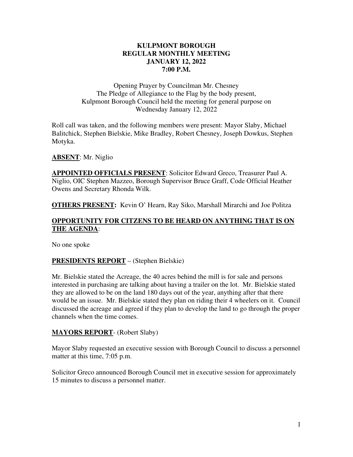#### **KULPMONT BOROUGH REGULAR MONTHLY MEETING JANUARY 12, 2022 7:00 P.M.**

Opening Prayer by Councilman Mr. Chesney The Pledge of Allegiance to the Flag by the body present, Kulpmont Borough Council held the meeting for general purpose on Wednesday January 12, 2022

Roll call was taken, and the following members were present: Mayor Slaby, Michael Balitchick, Stephen Bielskie, Mike Bradley, Robert Chesney, Joseph Dowkus, Stephen Motyka.

### **ABSENT**: Mr. Niglio

**APPOINTED OFFICIALS PRESENT**: Solicitor Edward Greco, Treasurer Paul A. Niglio, OIC Stephen Mazzeo, Borough Supervisor Bruce Graff, Code Official Heather Owens and Secretary Rhonda Wilk.

**OTHERS PRESENT:** Kevin O' Hearn, Ray Siko, Marshall Mirarchi and Joe Politza

### **OPPORTUNITY FOR CITZENS TO BE HEARD ON ANYTHING THAT IS ON THE AGENDA**:

No one spoke

#### **PRESIDENTS REPORT** – (Stephen Bielskie)

Mr. Bielskie stated the Acreage, the 40 acres behind the mill is for sale and persons interested in purchasing are talking about having a trailer on the lot. Mr. Bielskie stated they are allowed to be on the land 180 days out of the year, anything after that there would be an issue. Mr. Bielskie stated they plan on riding their 4 wheelers on it. Council discussed the acreage and agreed if they plan to develop the land to go through the proper channels when the time comes.

#### **MAYORS REPORT**- (Robert Slaby)

Mayor Slaby requested an executive session with Borough Council to discuss a personnel matter at this time, 7:05 p.m.

Solicitor Greco announced Borough Council met in executive session for approximately 15 minutes to discuss a personnel matter.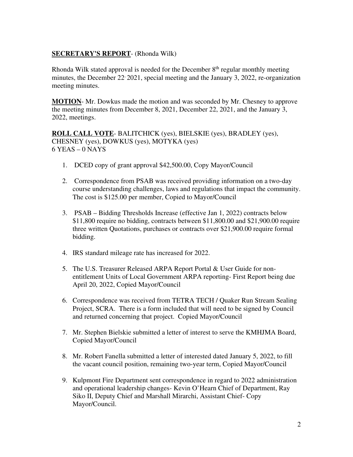### **SECRETARY'S REPORT**- (Rhonda Wilk)

Rhonda Wilk stated approval is needed for the December  $8<sup>th</sup>$  regular monthly meeting minutes, the December 22, 2021, special meeting and the January 3, 2022, re-organization meeting minutes.

**MOTION**- Mr. Dowkus made the motion and was seconded by Mr. Chesney to approve the meeting minutes from December 8, 2021, December 22, 2021, and the January 3, 2022, meetings.

**ROLL CALL VOTE**- BALITCHICK (yes), BIELSKIE (yes), BRADLEY (yes), CHESNEY (yes), DOWKUS (yes), MOTYKA (yes) 6 YEAS – 0 NAYS

- 1. DCED copy of grant approval \$42,500.00, Copy Mayor/Council
- 2. Correspondence from PSAB was received providing information on a two-day course understanding challenges, laws and regulations that impact the community. The cost is \$125.00 per member, Copied to Mayor/Council
- 3. PSAB Bidding Thresholds Increase (effective Jan 1, 2022) contracts below \$11,800 require no bidding, contracts between \$11,800.00 and \$21,900.00 require three written Quotations, purchases or contracts over \$21,900.00 require formal bidding.
- 4. IRS standard mileage rate has increased for 2022.
- 5. The U.S. Treasurer Released ARPA Report Portal & User Guide for nonentitlement Units of Local Government ARPA reporting- First Report being due April 20, 2022, Copied Mayor/Council
- 6. Correspondence was received from TETRA TECH / Quaker Run Stream Sealing Project, SCRA. There is a form included that will need to be signed by Council and returned concerning that project. Copied Mayor/Council
- 7. Mr. Stephen Bielskie submitted a letter of interest to serve the KMHJMA Board, Copied Mayor/Council
- 8. Mr. Robert Fanella submitted a letter of interested dated January 5, 2022, to fill the vacant council position, remaining two-year term, Copied Mayor/Council
- 9. Kulpmont Fire Department sent correspondence in regard to 2022 administration and operational leadership changes- Kevin O'Hearn Chief of Department, Ray Siko II, Deputy Chief and Marshall Mirarchi, Assistant Chief- Copy Mayor/Council.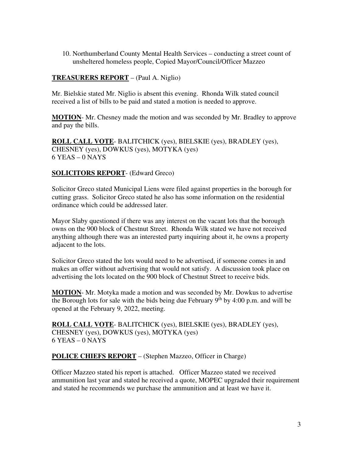10. Northumberland County Mental Health Services – conducting a street count of unsheltered homeless people, Copied Mayor/Council/Officer Mazzeo

#### **TREASURERS REPORT** – (Paul A. Niglio)

Mr. Bielskie stated Mr. Niglio is absent this evening. Rhonda Wilk stated council received a list of bills to be paid and stated a motion is needed to approve.

**MOTION**- Mr. Chesney made the motion and was seconded by Mr. Bradley to approve and pay the bills.

**ROLL CALL VOTE**- BALITCHICK (yes), BIELSKIE (yes), BRADLEY (yes), CHESNEY (yes), DOWKUS (yes), MOTYKA (yes)  $6$  YEAS –  $0$  NAYS

# **SOLICITORS REPORT**- (Edward Greco)

Solicitor Greco stated Municipal Liens were filed against properties in the borough for cutting grass. Solicitor Greco stated he also has some information on the residential ordinance which could be addressed later.

Mayor Slaby questioned if there was any interest on the vacant lots that the borough owns on the 900 block of Chestnut Street. Rhonda Wilk stated we have not received anything although there was an interested party inquiring about it, he owns a property adjacent to the lots.

Solicitor Greco stated the lots would need to be advertised, if someone comes in and makes an offer without advertising that would not satisfy. A discussion took place on advertising the lots located on the 900 block of Chestnut Street to receive bids.

**MOTION**- Mr. Motyka made a motion and was seconded by Mr. Dowkus to advertise the Borough lots for sale with the bids being due February  $9<sup>th</sup>$  by 4:00 p.m. and will be opened at the February 9, 2022, meeting.

**ROLL CALL VOTE**- BALITCHICK (yes), BIELSKIE (yes), BRADLEY (yes), CHESNEY (yes), DOWKUS (yes), MOTYKA (yes) 6 YEAS – 0 NAYS

**POLICE CHIEFS REPORT** – (Stephen Mazzeo, Officer in Charge)

Officer Mazzeo stated his report is attached. Officer Mazzeo stated we received ammunition last year and stated he received a quote, MOPEC upgraded their requirement and stated he recommends we purchase the ammunition and at least we have it.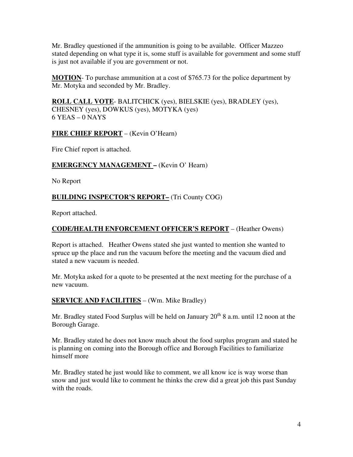Mr. Bradley questioned if the ammunition is going to be available. Officer Mazzeo stated depending on what type it is, some stuff is available for government and some stuff is just not available if you are government or not.

**MOTION**- To purchase ammunition at a cost of \$765.73 for the police department by Mr. Motyka and seconded by Mr. Bradley.

**ROLL CALL VOTE**- BALITCHICK (yes), BIELSKIE (yes), BRADLEY (yes), CHESNEY (yes), DOWKUS (yes), MOTYKA (yes)  $6$  YEAS – 0 NAYS

#### **FIRE CHIEF REPORT** – (Kevin O'Hearn)

Fire Chief report is attached.

### **EMERGENCY MANAGEMENT –** (Kevin O' Hearn)

No Report

# **BUILDING INSPECTOR'S REPORT–** (Tri County COG)

Report attached.

### **CODE/HEALTH ENFORCEMENT OFFICER'S REPORT** – (Heather Owens)

Report is attached. Heather Owens stated she just wanted to mention she wanted to spruce up the place and run the vacuum before the meeting and the vacuum died and stated a new vacuum is needed.

Mr. Motyka asked for a quote to be presented at the next meeting for the purchase of a new vacuum.

#### **SERVICE AND FACILITIES** – (Wm. Mike Bradley)

Mr. Bradley stated Food Surplus will be held on January  $20<sup>th</sup> 8$  a.m. until 12 noon at the Borough Garage.

Mr. Bradley stated he does not know much about the food surplus program and stated he is planning on coming into the Borough office and Borough Facilities to familiarize himself more

Mr. Bradley stated he just would like to comment, we all know ice is way worse than snow and just would like to comment he thinks the crew did a great job this past Sunday with the roads.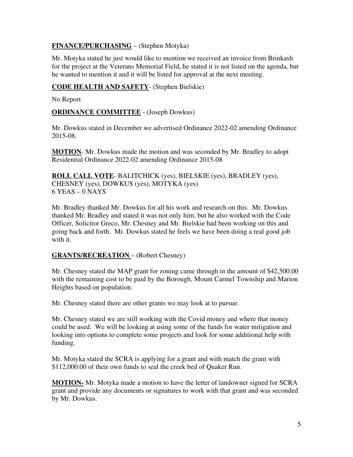# **FINANCE/PURCHASING** – (Stephen Motyka)

Mr. Motyka stated he just would like to mention we received an invoice from Brinkash for the project at the Veterans Memorial Field, he stated it is not listed on the agenda, but he wanted to mention it and it will be listed for approval at the next meeting.

### **CODE HEALTH AND SAFETY**- (Stephen Bielskie)

No Report

**ORDINANCE COMMITTEE** - (Joseph Dowkus)

Mr. Dowkus stated in December we advertised Ordinance 2022-02 amending Ordinance 2015-08.

**MOTION**- Mr. Dowkus made the motion and was seconded by Mr. Bradley to adopt Residential Ordinance 2022-02 amending Ordinance 2015-08

**ROLL CALL VOTE**- BALITCHICK (yes), BIELSKIE (yes), BRADLEY (yes), CHESNEY (yes), DOWKUS (yes), MOTYKA (yes)  $6$  YEAS – 0 NAYS

Mr. Bradley thanked Mr. Dowkus for all his work and research on this. Mr. Dowkus thanked Mr. Bradley and stated it was not only him, but he also worked with the Code Officer, Solicitor Greco, Mr. Chesney and Mr. Bielskie had been working on this and going back and forth. Mr. Dowkus stated he feels we have been doing a real good job with it.

#### **GRANTS/RECREATION** – (Robert Chesney)

Mr. Chesney stated the MAP grant for zoning came through in the amount of \$42,500.00 with the remaining cost to be paid by the Borough, Mount Carmel Township and Marion Heights based on population.

Mr. Chesney stated there are other grants we may look at to pursue.

Mr. Chesney stated we are still working with the Covid money and where that money could be used. We will be looking at using some of the funds for water mitigation and looking into options to complete some projects and look for some additional help with funding.

Mr. Motyka stated the SCRA is applying for a grant and with match the grant with \$112,000.00 of their own funds to seal the creek bed of Quaker Run.

**MOTION-** Mr. Motyka made a motion to have the letter of landowner signed for SCRA grant and provide any documents or signatures to work with that grant and was seconded by Mr. Dowkus.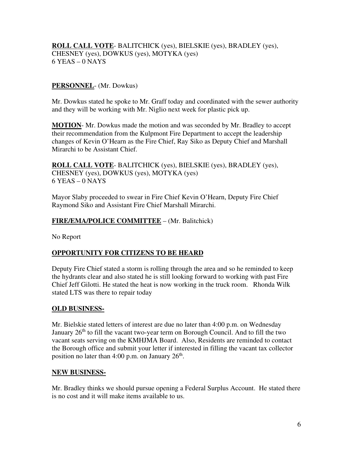**ROLL CALL VOTE**- BALITCHICK (yes), BIELSKIE (yes), BRADLEY (yes), CHESNEY (yes), DOWKUS (yes), MOTYKA (yes) 6 YEAS – 0 NAYS

# **PERSONNEL**- (Mr. Dowkus)

Mr. Dowkus stated he spoke to Mr. Graff today and coordinated with the sewer authority and they will be working with Mr. Niglio next week for plastic pick up.

**MOTION**- Mr. Dowkus made the motion and was seconded by Mr. Bradley to accept their recommendation from the Kulpmont Fire Department to accept the leadership changes of Kevin O'Hearn as the Fire Chief, Ray Siko as Deputy Chief and Marshall Mirarchi to be Assistant Chief.

**ROLL CALL VOTE**- BALITCHICK (yes), BIELSKIE (yes), BRADLEY (yes), CHESNEY (yes), DOWKUS (yes), MOTYKA (yes) 6 YEAS – 0 NAYS

Mayor Slaby proceeded to swear in Fire Chief Kevin O'Hearn, Deputy Fire Chief Raymond Siko and Assistant Fire Chief Marshall Mirarchi.

#### **FIRE/EMA/POLICE COMMITTEE** – (Mr. Balitchick)

No Report

# **OPPORTUNITY FOR CITIZENS TO BE HEARD**

Deputy Fire Chief stated a storm is rolling through the area and so he reminded to keep the hydrants clear and also stated he is still looking forward to working with past Fire Chief Jeff Gilotti. He stated the heat is now working in the truck room. Rhonda Wilk stated LTS was there to repair today

#### **OLD BUSINESS-**

Mr. Bielskie stated letters of interest are due no later than 4:00 p.m. on Wednesday January  $26<sup>th</sup>$  to fill the vacant two-year term on Borough Council. And to fill the two vacant seats serving on the KMHJMA Board. Also, Residents are reminded to contact the Borough office and submit your letter if interested in filling the vacant tax collector position no later than  $4:00$  p.m. on January  $26<sup>th</sup>$ .

#### **NEW BUSINESS-**

Mr. Bradley thinks we should pursue opening a Federal Surplus Account. He stated there is no cost and it will make items available to us.